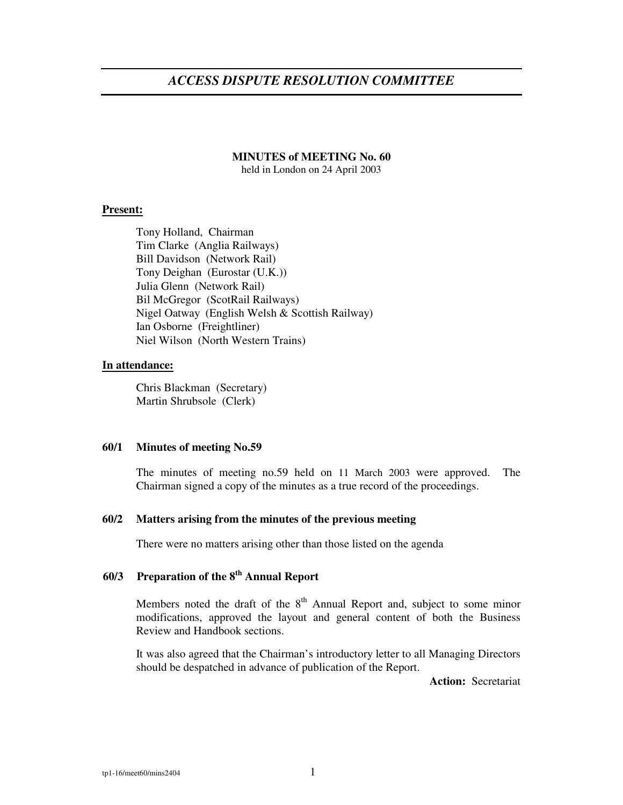# *ACCESS DISPUTE RESOLUTION COMMITTEE*

## **MINUTES of MEETING No. 60**

held in London on 24 April 2003

#### **Present:**

Tony Holland, Chairman Tim Clarke (Anglia Railways) Bill Davidson (Network Rail) Tony Deighan (Eurostar (U.K.)) Julia Glenn (Network Rail) Bil McGregor (ScotRail Railways) Nigel Oatway (English Welsh & Scottish Railway) Ian Osborne (Freightliner) Niel Wilson (North Western Trains)

#### **In attendance:**

Chris Blackman (Secretary) Martin Shrubsole (Clerk)

#### **60/1 Minutes of meeting No.59**

The minutes of meeting no.59 held on 11 March 2003 were approved. The Chairman signed a copy of the minutes as a true record of the proceedings.

#### **60/2 Matters arising from the minutes of the previous meeting**

There were no matters arising other than those listed on the agenda

# **60/3 Preparation of the 8 th Annual Report**

Members noted the draft of the  $8<sup>th</sup>$  Annual Report and, subject to some minor modifications, approved the layout and general content of both the Business Review and Handbook sections.

It was also agreed that the Chairman's introductory letter to all Managing Directors should be despatched in advance of publication of the Report.

**Action:** Secretariat